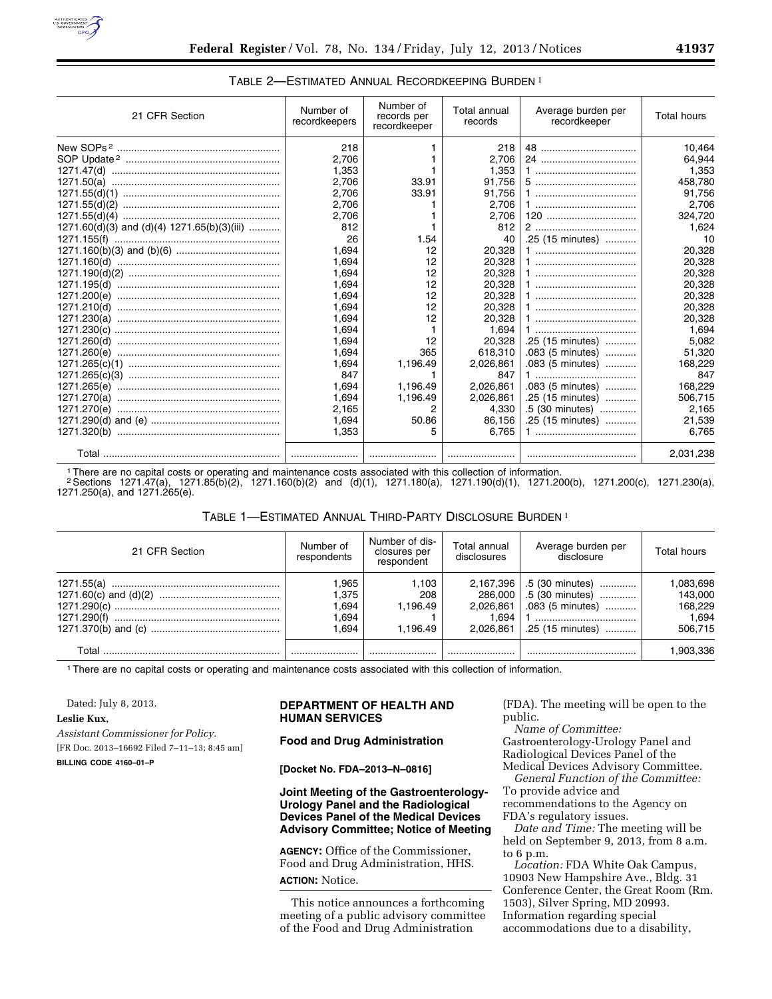

| 21 CFR Section                              | Number of<br>recordkeepers | Number of<br>records per<br>recordkeeper | Total annual<br>records | Average burden per<br>recordkeeper | <b>Total hours</b> |
|---------------------------------------------|----------------------------|------------------------------------------|-------------------------|------------------------------------|--------------------|
|                                             | 218                        |                                          | 218                     |                                    | 10.464             |
|                                             | 2.706                      |                                          | 2.706                   |                                    | 64.944             |
|                                             | 1,353                      |                                          | 1,353                   |                                    | 1,353              |
|                                             | 2,706                      | 33.91                                    | 91.756                  |                                    | 458.780            |
|                                             | 2.706                      | 33.91                                    | 91,756                  |                                    | 91,756             |
|                                             | 2.706                      |                                          | 2,706                   |                                    | 2.706              |
|                                             | 2,706                      |                                          | 2,706                   | 120                                | 324,720            |
| 1271.60(d)(3) and (d)(4) 1271.65(b)(3)(iii) | 812                        |                                          | 812                     |                                    | 1,624              |
|                                             | 26                         | 1.54                                     | 40                      | .25 (15 minutes)                   | 10                 |
|                                             | 1.694                      | 12                                       | 20.328                  |                                    | 20.328             |
|                                             | 1,694                      | 12                                       | 20,328                  |                                    | 20,328             |
|                                             | 1.694                      | 12                                       | 20,328                  | 1                                  | 20,328             |
|                                             | 1.694                      | 12                                       | 20.328                  |                                    | 20,328             |
|                                             | 1.694                      | 12                                       | 20,328                  |                                    | 20,328             |
|                                             | 1.694                      | 12                                       | 20,328                  |                                    | 20,328             |
|                                             | 1.694                      | 12                                       | 20,328                  |                                    | 20.328             |
|                                             | 1.694                      |                                          | 1.694                   |                                    | 1.694              |
|                                             | 1,694                      | 12                                       | 20,328                  | .25 (15 minutes)                   | 5,082              |
|                                             | 1.694                      | 365                                      | 618,310                 | .083 (5 minutes)                   | 51.320             |
|                                             | 1.694                      | 1.196.49                                 | 2,026,861               | .083 (5 minutes)                   | 168,229            |
|                                             | 847                        |                                          | 847                     |                                    | 847                |
|                                             | 1,694                      | 1,196.49                                 | 2,026,861               | .083 (5 minutes)                   | 168,229            |
|                                             | 1,694                      | 1,196.49                                 | 2,026,861               | .25 (15 minutes)                   | 506,715            |
|                                             | 2.165                      | 2                                        | 4.330                   | .5 (30 minutes)                    | 2,165              |
|                                             | 1.694                      | 50.86                                    | 86,156                  | .25 (15 minutes)                   | 21,539             |
|                                             | 1,353                      | 5                                        | 6,765                   |                                    | 6,765              |
|                                             |                            |                                          |                         |                                    | 2,031,238          |

### TABLE 2—ESTIMATED ANNUAL RECORDKEEPING BURDEN 1

1There are no capital costs or operating and maintenance costs associated with this collection of information.

2Sections 1271.47(a), 1271.85(b)(2), 1271.160(b)(2) and (d)(1), 1271.180(a), 1271.190(d)(1), 1271.200(b), 1271.200(c), 1271.230(a), 1271.250(a), and 1271.265(e).

### TABLE 1—ESTIMATED ANNUAL THIRD-PARTY DISCLOSURE BURDEN 1

| 21 CFR Section | Number of<br>respondents                | Number of dis-<br>closures per<br>respondent | Total annual<br>disclosures                             | Average burden per<br>disclosure                                           | Total hours                                         |
|----------------|-----------------------------------------|----------------------------------------------|---------------------------------------------------------|----------------------------------------------------------------------------|-----------------------------------------------------|
|                | .965<br>1.375<br>.694<br>694. ا<br>.694 | 1.103<br>208<br>1.196.49<br>1.196.49         | 2,167,396<br>286,000<br>2,026,861<br>1.694<br>2.026.861 | .5 (30 minutes)<br>.5 (30 minutes)<br>.083 (5 minutes)<br>.25 (15 minutes) | 1,083,698<br>143.000<br>168.229<br>1.694<br>506.715 |
|                |                                         |                                              |                                                         |                                                                            | . 903,336                                           |

1There are no capital costs or operating and maintenance costs associated with this collection of information.

Dated: July 8, 2013.

### **Leslie Kux,**

*Assistant Commissioner for Policy.*  [FR Doc. 2013–16692 Filed 7–11–13; 8:45 am] **BILLING CODE 4160–01–P** 

## **DEPARTMENT OF HEALTH AND HUMAN SERVICES**

### **Food and Drug Administration**

**[Docket No. FDA–2013–N–0816]** 

## **Joint Meeting of the Gastroenterology-Urology Panel and the Radiological Devices Panel of the Medical Devices Advisory Committee; Notice of Meeting**

**AGENCY:** Office of the Commissioner, Food and Drug Administration, HHS. **ACTION:** Notice.

This notice announces a forthcoming meeting of a public advisory committee of the Food and Drug Administration

(FDA). The meeting will be open to the public.

*Name of Committee:*  Gastroenterology-Urology Panel and Radiological Devices Panel of the Medical Devices Advisory Committee.

*General Function of the Committee:*  To provide advice and recommendations to the Agency on

FDA's regulatory issues. *Date and Time:* The meeting will be

held on September 9, 2013, from 8 a.m. to 6 p.m.

*Location:* FDA White Oak Campus, 10903 New Hampshire Ave., Bldg. 31 Conference Center, the Great Room (Rm. 1503), Silver Spring, MD 20993. Information regarding special accommodations due to a disability,